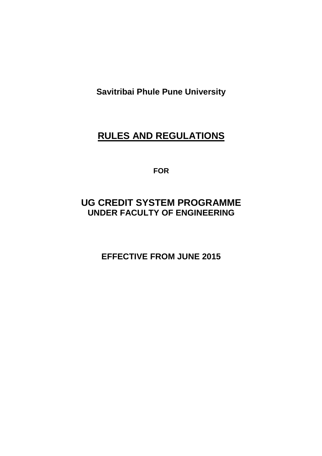**Savitribai Phule Pune University** 

# **RULES AND REGULATIONS**

**FOR** 

# **UG CREDIT SYSTEM PROGRAMME UNDER FACULTY OF ENGINEERING**

**EFFECTIVE FROM JUNE 2015**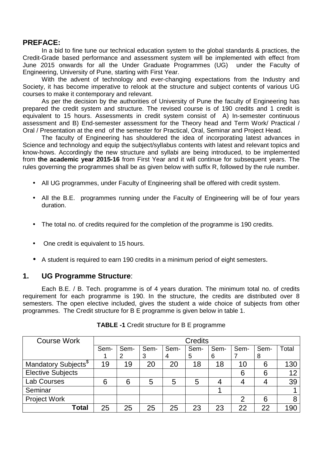## **PREFACE:**

In a bid to fine tune our technical education system to the global standards & practices, the Credit-Grade based performance and assessment system will be implemented with effect from June 2015 onwards for all the Under Graduate Programmes (UG) under the Faculty of Engineering, University of Pune, starting with First Year.

With the advent of technology and ever-changing expectations from the Industry and Society, it has become imperative to relook at the structure and subject contents of various UG courses to make it contemporary and relevant.

As per the decision by the authorities of University of Pune the faculty of Engineering has prepared the credit system and structure. The revised course is of 190 credits and 1 credit is equivalent to 15 hours. Assessments in credit system consist of A) In-semester continuous assessment and B) End-semester assessment for the Theory head and Term Work/ Practical / Oral / Presentation at the end of the semester for Practical, Oral, Seminar and Project Head.

The faculty of Engineering has shouldered the idea of incorporating latest advances in Science and technology and equip the subject/syllabus contents with latest and relevant topics and know-hows. Accordingly the new structure and syllabi are being introduced, to be implemented from **the academic year 2015-16** from First Year and it will continue for subsequent years. The rules governing the programmes shall be as given below with suffix R, followed by the rule number.

- All UG programmes, under Faculty of Engineering shall be offered with credit system.
- All the B.E. programmes running under the Faculty of Engineering will be of four years duration.
- The total no. of credits required for the completion of the programme is 190 credits.
- One credit is equivalent to 15 hours.
- A student is required to earn 190 credits in a minimum period of eight semesters.

#### **1. UG Programme Structure**:

 Each B.E. / B. Tech. programme is of 4 years duration. The minimum total no. of credits requirement for each programme is 190. In the structure, the credits are distributed over 8 semesters. The open elective included, gives the student a wide choice of subjects from other programmes. The Credit structure for B E programme is given below in table 1.

| <b>Course Work</b>               |      | <b>Credits</b> |      |      |      |      |      |      |       |
|----------------------------------|------|----------------|------|------|------|------|------|------|-------|
|                                  | Sem- | Sem-           | Sem- | Sem- | Sem- | Sem- | Sem- | Sem- | Total |
|                                  |      | 2              | 3    | 4    | 5    | 6    |      | 8    |       |
| Mandatory Subjects <sup>\$</sup> | 19   | 19             | 20   | 20   | 18   | 18   | 10   | 6    | 130   |
| <b>Elective Subjects</b>         |      |                |      |      |      |      | 6    | 6    | 12    |
| <b>Lab Courses</b>               | 6    | 6              | 5    | 5    | 5    |      |      |      | 39    |
| Seminar                          |      |                |      |      |      |      |      |      |       |
| <b>Project Work</b>              |      |                |      |      |      |      | 2    | 6    | 8     |
| Total                            | 25   | 25             | 25   | 25   | 23   | 23   | 22   | 22   | 190   |

**TABLE -1** Credit structure for B E programme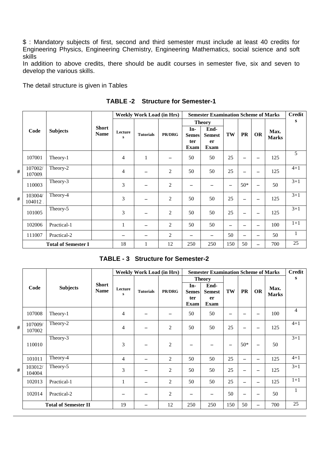\$ : Mandatory subjects of first, second and third semester must include at least 40 credits for Engineering Physics, Engineering Chemistry, Engineering Mathematics, social science and soft skills

In addition to above credits, there should be audit courses in semester five, six and seven to develop the various skills.

The detail structure is given in Tables

|   |                    |                            |                             |              | <b>Weekly Work Load (in Hrs)</b> |                          |                                           | <b>Semester Examination Scheme of Marks</b> |                          |                 |                          |                      | <b>Credit</b> |
|---|--------------------|----------------------------|-----------------------------|--------------|----------------------------------|--------------------------|-------------------------------------------|---------------------------------------------|--------------------------|-----------------|--------------------------|----------------------|---------------|
|   |                    |                            |                             |              |                                  |                          |                                           | <b>Theory</b>                               |                          |                 |                          |                      | S             |
|   | Code               | <b>Subjects</b>            | <b>Short</b><br><b>Name</b> | Lecture<br>s | <b>Tutorials</b>                 | <b>PR/DRG</b>            | In-<br><b>Semes</b><br>ter<br><b>Exam</b> | End-<br><b>Semest</b><br>er<br><b>Exam</b>  | TW                       | <b>PR</b>       | <b>OR</b>                | Max.<br><b>Marks</b> |               |
|   | 107001             | Theory-1                   |                             | 4            | 1                                | $\overline{\phantom{0}}$ | 50                                        | 50                                          | 25                       |                 | —                        | 125                  | 5             |
| # | 107002/<br>107009. | Theory-2                   |                             | 4            |                                  | $\overline{c}$           | 50                                        | 50                                          | 25                       |                 |                          | 125                  | $4 + 1$       |
|   | 110003             | Theory-3                   |                             | 3            | —                                | $\overline{c}$           | $\overline{\phantom{m}}$                  |                                             | $\overline{\phantom{0}}$ | $50*$           |                          | 50                   | $3 + 1$       |
| # | 103004/<br>104012  | Theory-4                   |                             | 3            | —                                | $\overline{c}$           | 50                                        | 50                                          | 25                       |                 |                          | 125                  | $3 + 1$       |
|   | 101005             | Theory-5                   |                             | 3            | —                                | 2                        | 50                                        | 50                                          | 25                       | $\qquad \qquad$ | $\overline{\phantom{m}}$ | 125                  | $3 + 1$       |
|   | 102006             | Practical-1                |                             |              | —                                | $\overline{c}$           | 50                                        | 50                                          | $\overline{\phantom{0}}$ |                 | $\overline{\phantom{m}}$ | 100                  | $1+1$         |
|   | 111007             | Practical-2                |                             |              | -                                | 2                        | $\overline{\phantom{m}}$                  | $\overline{\phantom{0}}$                    | 50                       |                 | $\overline{\phantom{m}}$ | 50                   | $\mathbf{1}$  |
|   |                    | <b>Total of Semester I</b> |                             | 18           |                                  | 12                       | 250                                       | 250                                         | 150                      | 50              | $\overline{\phantom{0}}$ | 700                  | 25            |

**TABLE -2 Structure for Semester-1** 

|  | <b>TABLE - 3 Structure for Semester-2</b> |  |
|--|-------------------------------------------|--|
|--|-------------------------------------------|--|

|   |                    |                             |                             |                | <b>Weekly Work Load (in Hrs)</b> |                |                                           | <b>Semester Examination Scheme of Marks</b> |     |           |                          |                      | <b>Credit</b> |
|---|--------------------|-----------------------------|-----------------------------|----------------|----------------------------------|----------------|-------------------------------------------|---------------------------------------------|-----|-----------|--------------------------|----------------------|---------------|
|   |                    |                             |                             |                |                                  |                |                                           | <b>Theory</b>                               |     |           |                          |                      | s             |
|   | Code               | <b>Subjects</b>             | <b>Short</b><br><b>Name</b> | Lecture<br>s   | <b>Tutorials</b>                 | PR/DRG         | In-<br><b>Semes</b><br>ter<br><b>Exam</b> | End-<br><b>Semest</b><br>er<br><b>Exam</b>  | TW  | <b>PR</b> | <b>OR</b>                | Max.<br><b>Marks</b> |               |
|   | 107008             | Theory-1                    |                             | 4              |                                  |                | 50                                        | 50                                          |     |           | —                        | 100                  | 4             |
| # | 107009/<br>107002  | Theory-2                    |                             | $\overline{4}$ |                                  | $\overline{c}$ | 50                                        | 50                                          | 25  |           | $\overline{\phantom{0}}$ | 125                  | $4 + 1$       |
|   | 110010             | Theory-3                    |                             | 3              |                                  | $\overline{2}$ | $\overline{\phantom{0}}$                  |                                             |     | $50*$     | $\overline{\phantom{m}}$ | 50                   | $3 + 1$       |
|   | 101011             | Theory-4                    |                             | 4              |                                  | 2              | 50                                        | 50                                          | 25  |           |                          | 125                  | $4 + 1$       |
| # | 103012/<br>104004. | Theory-5                    |                             | 3              |                                  | $\overline{2}$ | 50                                        | 50                                          | 25  |           | $\overline{\phantom{m}}$ | 125                  | $3 + 1$       |
|   | 102013             | Practical-1                 |                             | 1              |                                  | $\mathfrak{2}$ | 50                                        | 50                                          | 25  |           | $\qquad \qquad$          | 125                  | $1 + 1$       |
|   | 102014             | Practical-2                 |                             |                |                                  | $\mathfrak{2}$ |                                           |                                             | 50  |           |                          | 50                   | 1             |
|   |                    | <b>Total of Semester II</b> |                             | 19             |                                  | 12             | 250                                       | 250                                         | 150 | 50        |                          | 700                  | 25            |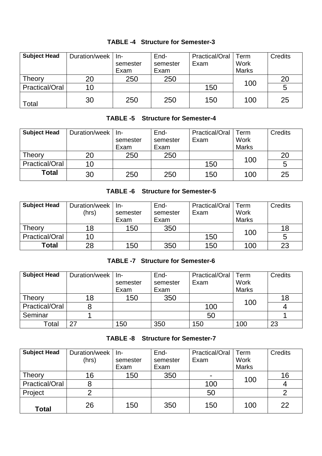| <b>Subject Head</b>   | Duration/week | -ln      | End-     | Practical/Oral | Term         | <b>Credits</b> |
|-----------------------|---------------|----------|----------|----------------|--------------|----------------|
|                       |               | semester | semester | Exam           | Work         |                |
|                       |               | Exam     | Exam     |                | <b>Marks</b> |                |
| Theory                | 20            | 250      | 250      |                | 100          | 20             |
| <b>Practical/Oral</b> | 10            |          |          | 150            |              | 5              |
| Total                 | 30            | 250      | 250      | 150            | 100          | 25             |

## **TABLE -4 Structure for Semester-3**

## **TABLE -5 Structure for Semester-4**

| <b>Subject Head</b> | Duration/week | -ln      | End-     | <b>Practical/Oral</b> | Term         | <b>Credits</b> |
|---------------------|---------------|----------|----------|-----------------------|--------------|----------------|
|                     |               | semester | semester | Exam                  | Work         |                |
|                     |               | Exam     | Exam     |                       | <b>Marks</b> |                |
| Theory              | 20            | 250      | 250      |                       | 100          | 20             |
| Practical/Oral      | 10            |          |          | 150                   |              | 5              |
| <b>Total</b>        | 30            | 250      | 250      | 150                   | 100          | 25             |

## **TABLE -6 Structure for Semester-5**

| <b>Subject Head</b>   | Duration/week<br>(hrs) | -ln<br>semester<br>Exam | End-<br>semester<br>Exam | Practical/Oral<br>Exam | Term<br>Work<br><b>Marks</b> | <b>Credits</b> |
|-----------------------|------------------------|-------------------------|--------------------------|------------------------|------------------------------|----------------|
| Theory                | 18                     | 150                     | 350                      |                        | 100                          | 18             |
| <b>Practical/Oral</b> | 10                     |                         |                          | 150                    |                              | 5              |
| Total                 | 28                     | 150                     | 350                      | 150                    | 100                          | 23             |

## **TABLE -7 Structure for Semester-6**

| <b>Subject Head</b> | Duration/week | In-      | End-     | Practical/Oral | Term         | Credits |
|---------------------|---------------|----------|----------|----------------|--------------|---------|
|                     |               | semester | semester | Exam           | Work         |         |
|                     |               | Exam     | Exam     |                | <b>Marks</b> |         |
| Theory              | 18            | 150      | 350      |                | 100          | 18      |
| Practical/Oral      |               |          |          | 100            |              |         |
| Seminar             |               |          |          | 50             |              |         |
| Total               | 27            | 150      | 350      | 150            | 100          | 23      |

#### **TABLE -8 Structure for Semester-7**

| <b>Subject Head</b> | Duration/week | In-      | End-     | Practical/Oral | Term         | Credits |
|---------------------|---------------|----------|----------|----------------|--------------|---------|
|                     | (hrs)         | semester | semester | Exam           | <b>Work</b>  |         |
|                     |               | Exam     | Exam     |                | <b>Marks</b> |         |
| Theory              | 16            | 150      | 350      | $\blacksquare$ | 100          | 16      |
| Practical/Oral      | 8             |          |          | 100            |              |         |
| Project             |               |          |          | 50             |              | ⌒       |
| <b>Total</b>        | 26            | 150      | 350      | 150            | 100          | 22      |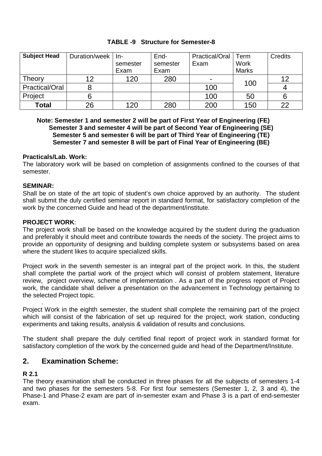| <b>Subject Head</b>   | Duration/week   In- |          | End-     | Practical/Oral | Term         | <b>Credits</b> |
|-----------------------|---------------------|----------|----------|----------------|--------------|----------------|
|                       |                     | semester | semester | Exam           | Work         |                |
|                       |                     | Exam     | Exam     |                | <b>Marks</b> |                |
| Theory                | 12                  | 120      | 280      | ۰              | 100          | 12             |
| <b>Practical/Oral</b> |                     |          |          | 100            |              |                |
| Project               | O                   |          |          | 100            | 50           | 6              |
| <b>Total</b>          | 26                  | 120      | 280      | 200            | 150          | 22             |

## **TABLE -9 Structure for Semester-8**

 **Note: Semester 1 and semester 2 will be part of First Year of Engineering (FE) Semester 3 and semester 4 will be part of Second Year of Engineering (SE) Semester 5 and semester 6 will be part of Third Year of Engineering (TE) Semester 7 and semester 8 will be part of Final Year of Engineering (BE)** 

#### **Practicals/Lab. Work:**

The laboratory work will be based on completion of assignments confined to the courses of that semester.

#### **SEMINAR:**

Shall be on state of the art topic of student's own choice approved by an authority. The student shall submit the duly certified seminar report in standard format, for satisfactory completion of the work by the concerned Guide and head of the department/institute.

#### **PROJECT WORK**:

The project work shall be based on the knowledge acquired by the student during the graduation and preferably it should meet and contribute towards the needs of the society. The project aims to provide an opportunity of designing and building complete system or subsystems based on area where the student likes to acquire specialized skills.

Project work in the seventh semester is an integral part of the project work. In this, the student shall complete the partial work of the project which will consist of problem statement, literature review, project overview, scheme of implementation . As a part of the progress report of Project work, the candidate shall deliver a presentation on the advancement in Technology pertaining to the selected Project topic.

. Project Work in the eighth semester, the student shall complete the remaining part of the project which will consist of the fabrication of set up required for the project, work station, conducting experiments and taking results, analysis & validation of results and conclusions.

The student shall prepare the duly certified final report of project work in standard format for satisfactory completion of the work by the concerned guide and head of the Department/Institute.

## **2. Examination Scheme:**

#### **R 2.1**

The theory examination shall be conducted in three phases for all the subjects of semesters 1-4 and two phases for the semesters 5-8. For first four semesters (Semester 1, 2, 3 and 4), the Phase-1 and Phase-2 exam are part of in-semester exam and Phase 3 is a part of end-semester exam.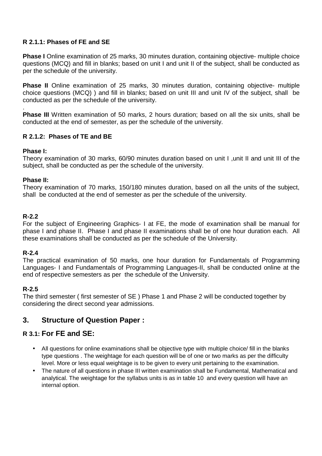## **R 2.1.1: Phases of FE and SE**

**Phase I** Online examination of 25 marks, 30 minutes duration, containing objective- multiple choice questions (MCQ) and fill in blanks; based on unit I and unit II of the subject, shall be conducted as per the schedule of the university.

**Phase II** Online examination of 25 marks, 30 minutes duration, containing objective- multiple choice questions (MCQ) ) and fill in blanks; based on unit III and unit IV of the subject, shall be conducted as per the schedule of the university.

. **Phase III** Written examination of 50 marks, 2 hours duration; based on all the six units, shall be conducted at the end of semester, as per the schedule of the university.

## **R 2.1.2: Phases of TE and BE**

#### **Phase I:**

Theory examination of 30 marks, 60/90 minutes duration based on unit I ,unit II and unit III of the subject, shall be conducted as per the schedule of the university.

#### **Phase II:**

Theory examination of 70 marks, 150/180 minutes duration, based on all the units of the subject, shall be conducted at the end of semester as per the schedule of the university.

#### **R-2.2**

For the subject of Engineering Graphics- I at FE, the mode of examination shall be manual for phase I and phase II. Phase I and phase II examinations shall be of one hour duration each. All these examinations shall be conducted as per the schedule of the University.

#### **R-2.4**

The practical examination of 50 marks, one hour duration for Fundamentals of Programming Languages- I and Fundamentals of Programming Languages-II, shall be conducted online at the end of respective semesters as per the schedule of the University.

#### **R-2.5**

The third semester (first semester of SE) Phase 1 and Phase 2 will be conducted together by considering the direct second year admissions.

## **3. Structure of Question Paper :**

## **R 3.1: For FE and SE:**

- All questions for online examinations shall be objective type with multiple choice/ fill in the blanks type questions . The weightage for each question will be of one or two marks as per the difficulty level. More or less equal weightage is to be given to every unit pertaining to the examination.
- The nature of all questions in phase III written examination shall be Fundamental, Mathematical and analytical. The weightage for the syllabus units is as in table 10 and every question will have an internal option.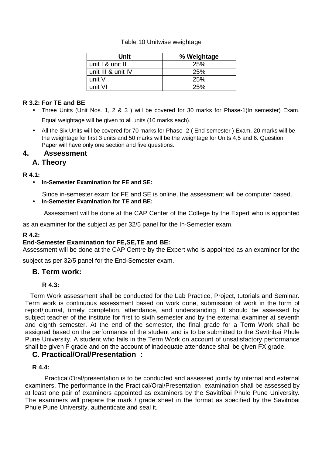#### Table 10 Unitwise weightage

| Unit               | % Weightage |
|--------------------|-------------|
| unit I & unit II   | 25%         |
| unit III & unit IV | <b>25%</b>  |
| unit V             | <b>25%</b>  |
| unit VI            | 25%         |

#### **R 3.2: For TE and BE**

- Three Units (Unit Nos. 1, 2 & 3 ) will be covered for 30 marks for Phase-1(In semester) Exam. Equal weightage will be given to all units (10 marks each).
- All the Six Units will be covered for 70 marks for Phase -2 ( End-semester ) Exam. 20 marks will be the weightage for first 3 units and 50 marks will be the weightage for Units 4,5 and 6. Question Paper will have only one section and five questions.

## **4. Assessment**

## **A. Theory**

## **R 4.1:**

• **In-Semester Examination for FE and SE:** 

Since in-semester exam for FE and SE is online, the assessment will be computer based.

• **In-Semester Examination for TE and BE:** 

Assessment will be done at the CAP Center of the College by the Expert who is appointed

as an examiner for the subject as per 32/5 panel for the In-Semester exam.

#### **R 4.2:**

#### **End-Semester Examination for FE,SE,TE and BE:**

Assessment will be done at the CAP Centre by the Expert who is appointed as an examiner for the

subject as per 32/5 panel for the End-Semester exam.

## **B. Term work:**

#### **R 4.3:**

 Term Work assessment shall be conducted for the Lab Practice, Project, tutorials and Seminar. Term work is continuous assessment based on work done, submission of work in the form of report/journal, timely completion, attendance, and understanding. It should be assessed by subject teacher of the institute for first to sixth semester and by the external examiner at seventh and eighth semester. At the end of the semester, the final grade for a Term Work shall be assigned based on the performance of the student and is to be submitted to the Savitribai Phule Pune University. A student who fails in the Term Work on account of unsatisfactory performance shall be given F grade and on the account of inadequate attendance shall be given FX grade.

## **C. Practical/Oral/Presentation :**

#### **R 4.4:**

 Practical/Oral/presentation is to be conducted and assessed jointly by internal and external examiners. The performance in the Practical/Oral/Presentation examination shall be assessed by at least one pair of examiners appointed as examiners by the Savitribai Phule Pune University. The examiners will prepare the mark / grade sheet in the format as specified by the Savitribai Phule Pune University, authenticate and seal it.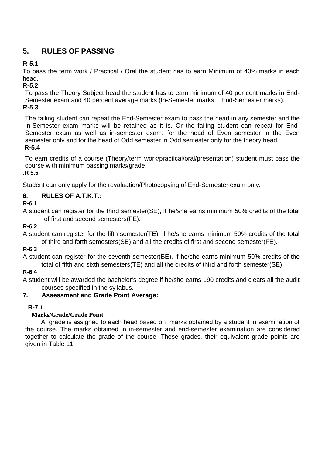## **5. RULES OF PASSING**

## **R-5.1**

To pass the term work / Practical / Oral the student has to earn Minimum of 40% marks in each head.

## **R-5.2**

To pass the Theory Subject head the student has to earn minimum of 40 per cent marks in End-Semester exam and 40 percent average marks (In-Semester marks + End-Semester marks). **R-5.3** 

The failing student can repeat the End-Semester exam to pass the head in any semester and the In-Semester exam marks will be retained as it is. Or the failing student can repeat for End-Semester exam as well as in-semester exam. for the head of Even semester in the Even semester only and for the head of Odd semester in Odd semester only for the theory head.  **R-5.4** 

To earn credits of a course (Theory/term work/practical/oral/presentation) student must pass the course with minimum passing marks/grade.

## .**R 5.5**

Student can only apply for the revaluation/Photocopying of End-Semester exam only.

## **6. RULES OF A.T.K.T.:**

**R-6.1** 

A student can register for the third semester(SE), if he/she earns minimum 50% credits of the total of first and second semesters(FE).

## **R-6.2**

A student can register for the fifth semester(TE), if he/she earns minimum 50% credits of the total of third and forth semesters(SE) and all the credits of first and second semester(FE).

## **R-6.3**

A student can register for the seventh semester(BE), if he/she earns minimum 50% credits of the total of fifth and sixth semesters(TE) and all the credits of third and forth semester(SE).

## **R-6.4**

A student will be awarded the bachelor's degree if he/she earns 190 credits and clears all the audit courses specified in the syllabus.

## **7. Assessment and Grade Point Average:**

## **R-7.1**

## **Marks/Grade/Grade Point**

 A grade is assigned to each head based on marks obtained by a student in examination of the course. The marks obtained in in-semester and end-semester examination are considered together to calculate the grade of the course. These grades, their equivalent grade points are given in Table 11.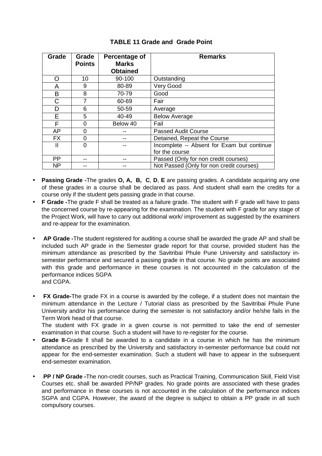| Grade     | Grade<br><b>Points</b> | Percentage of<br><b>Marks</b> | <b>Remarks</b>                             |
|-----------|------------------------|-------------------------------|--------------------------------------------|
|           |                        | <b>Obtained</b>               |                                            |
| ∩         | 10                     | 90-100                        | Outstanding                                |
| A         | 9                      | 80-89                         | Very Good                                  |
| B         | 8                      | 70-79                         | Good                                       |
| C         |                        | 60-69                         | Fair                                       |
| D         | 6                      | 50-59                         | Average                                    |
| E         | 5.                     | 40-49                         | <b>Below Average</b>                       |
| F         | 0                      | Below 40                      | Fail                                       |
| <b>AP</b> | 0                      |                               | <b>Passed Audit Course</b>                 |
| <b>FX</b> | $\Omega$               |                               | Detained, Repeat the Course                |
| Ш         | 0                      |                               | Incomplete -- Absent for Exam but continue |
|           |                        |                               | for the course                             |
| <b>PP</b> |                        |                               | Passed (Only for non credit courses)       |
| <b>NP</b> |                        |                               | Not Passed (Only for non credit courses)   |

#### **TABLE 11 Grade and Grade Point**

- **Passing Grade -**The grades **O, A, B, C**, **D**, **E** are passing grades. A candidate acquiring any one of these grades in a course shall be declared as pass. And student shall earn the credits for a course only if the student gets passing grade in that course.
- **F Grade -**The grade F shall be treated as a failure grade. The student with F grade will have to pass the concerned course by re-appearing for the examination. The student with F grade for any stage of the Project Work, will have to carry out additional work/ improvement as suggested by the examiners and re-appear for the examination.
- • **AP Grade -**The student registered for auditing a course shall be awarded the grade AP and shall be included such AP grade in the Semester grade report for that course, provided student has the minimum attendance as prescribed by the Savitribai Phule Pune University and satisfactory insemester performance and secured a passing grade in that course. No grade points are associated with this grade and performance in these courses is not accounted in the calculation of the performance indices SGPA and CGPA.
- • **FX Grade-**The grade FX in a course is awarded by the college, if a student does not maintain the minimum attendance in the Lecture / Tutorial class as prescribed by the Savitribai Phule Pune University and/or his performance during the semester is not satisfactory and/or he/she fails in the Term Work head of that course.

The student with FX grade in a given course is not permitted to take the end of semester examination in that course. Such a student will have to re-register for the course.

- **Grade II-**Grade ll shall be awarded to a candidate in a course in which he has the minimum attendance as prescribed by the University and satisfactory in-semester performance but could not appear for the end-semester examination. Such a student will have to appear in the subsequent end-semester examination.
- **PP / NP Grade -**The non-credit courses, such as Practical Training, Communication Skill, Field Visit Courses etc. shall be awarded PP/NP grades. No grade points are associated with these grades and performance in these courses is not accounted in the calculation of the performance indices SGPA and CGPA. However, the award of the degree is subject to obtain a PP grade in all such compulsory courses.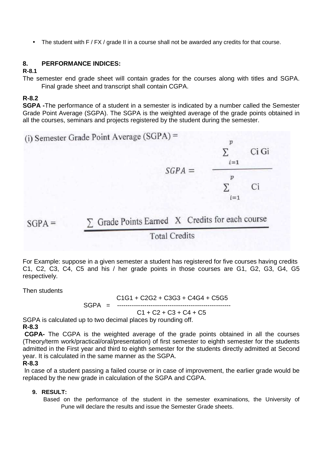• The student with F / FX / grade II in a course shall not be awarded any credits for that course.

#### **8. PERFORMANCE INDICES:**

#### **R-8.1**

The semester end grade sheet will contain grades for the courses along with titles and SGPA. Final grade sheet and transcript shall contain CGPA.

#### **R-8.2**

**SGPA -**The performance of a student in a semester is indicated by a number called the Semester Grade Point Average (SGPA). The SGPA is the weighted average of the grade points obtained in all the courses, seminars and projects registered by the student during the semester.

(i) Semester Grade Point Average (SGPA) =  $\boldsymbol{p}$  $Ci$   $Gi$ Σ  $i=1$  $SGPA =$  $\boldsymbol{p}$  $\Sigma$ Ci  $i=1$ 

 $\Sigma$  Grade Points Earned X Credits for each course

## **Total Credits**

For Example: suppose in a given semester a student has registered for five courses having credits C1, C2, C3, C4, C5 and his / her grade points in those courses are G1, G2, G3, G4, G5 respectively.

Then students

 $SGPA =$ 

$$
C1G1 + C2G2 + C3G3 + C4G4 + C5G5
$$

$$
SGPA =
$$

$$
C1 + C2 + C3 + C4 + C5
$$

SGPA is calculated up to two decimal places by rounding off.

#### **R-8.3**

 **CGPA-** The CGPA is the weighted average of the grade points obtained in all the courses (Theory/term work/practical/oral/presentation) of first semester to eighth semester for the students admitted in the First year and third to eighth semester for the students directly admitted at Second year. It is calculated in the same manner as the SGPA.

#### **R-8.3**

 ln case of a student passing a failed course or in case of improvement, the earlier grade would be replaced by the new grade in calculation of the SGPA and CGPA.

#### **9. RESULT:**

 Based on the performance of the student in the semester examinations, the University of Pune will declare the results and issue the Semester Grade sheets.